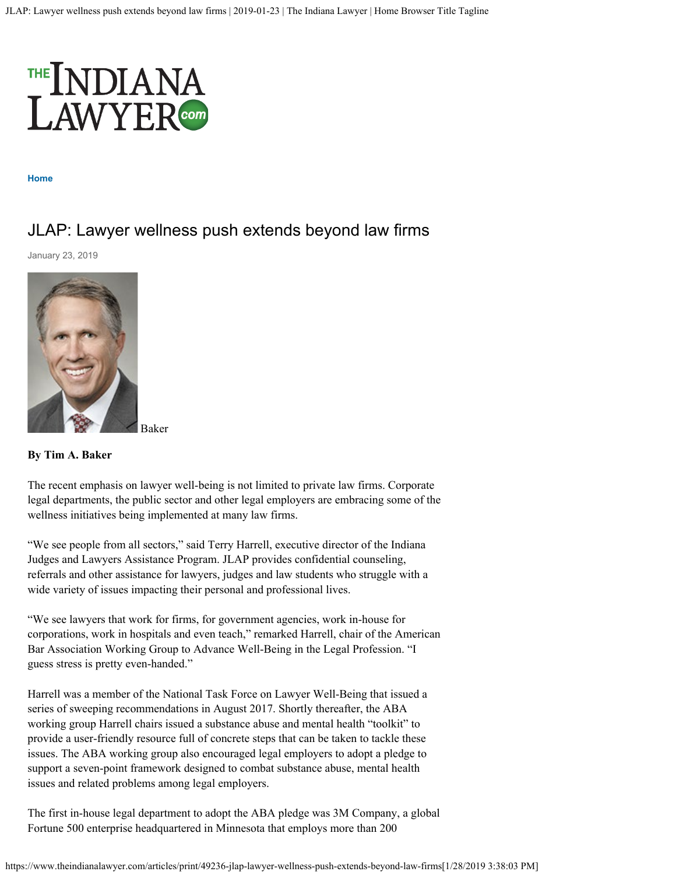

**[Home](https://www.theindianalawyer.com/)**

## JLAP: Lawyer wellness push extends beyond law firms

January 23, 2019



Baker

## **By Tim A. Baker**

The recent emphasis on lawyer well-being is not limited to private law firms. Corporate legal departments, the public sector and other legal employers are embracing some of the wellness initiatives being implemented at many law firms.

"We see people from all sectors," said Terry Harrell, executive director of the Indiana Judges and Lawyers Assistance Program. JLAP provides confidential counseling, referrals and other assistance for lawyers, judges and law students who struggle with a wide variety of issues impacting their personal and professional lives.

"We see lawyers that work for firms, for government agencies, work in-house for corporations, work in hospitals and even teach," remarked Harrell, chair of the American Bar Association Working Group to Advance Well-Being in the Legal Profession. "I guess stress is pretty even-handed."

Harrell was a member of the National Task Force on Lawyer Well-Being that issued a series of sweeping recommendations in August 2017. Shortly thereafter, the ABA working group Harrell chairs issued a substance abuse and mental health "toolkit" to provide a user-friendly resource full of concrete steps that can be taken to tackle these issues. The ABA working group also encouraged legal employers to adopt a pledge to support a seven-point framework designed to combat substance abuse, mental health issues and related problems among legal employers.

The first in-house legal department to adopt the ABA pledge was 3M Company, a global Fortune 500 enterprise headquartered in Minnesota that employs more than 200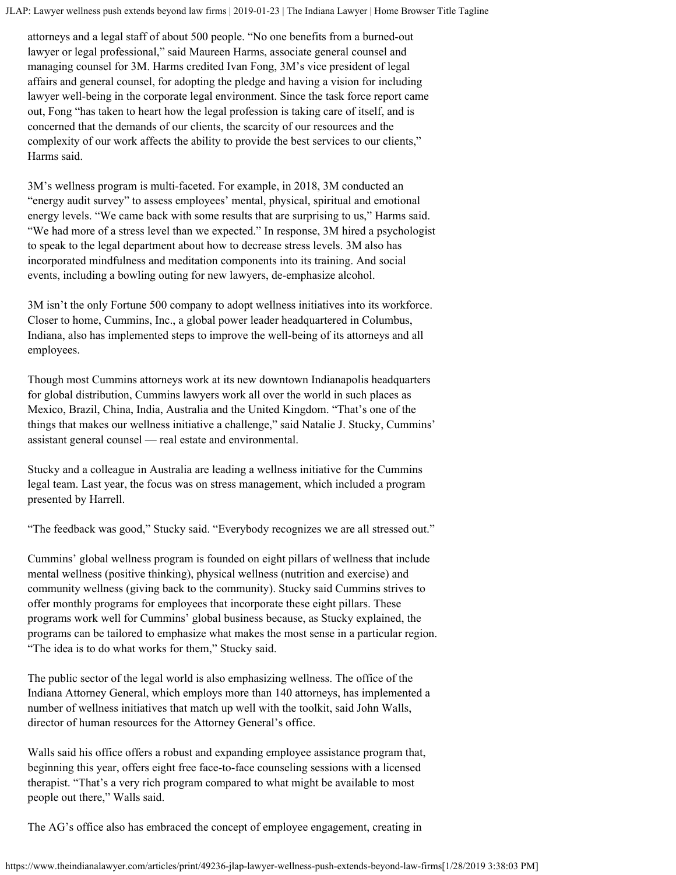JLAP: Lawyer wellness push extends beyond law firms | 2019-01-23 | The Indiana Lawyer | Home Browser Title Tagline

attorneys and a legal staff of about 500 people. "No one benefits from a burned-out lawyer or legal professional," said Maureen Harms, associate general counsel and managing counsel for 3M. Harms credited Ivan Fong, 3M's vice president of legal affairs and general counsel, for adopting the pledge and having a vision for including lawyer well-being in the corporate legal environment. Since the task force report came out, Fong "has taken to heart how the legal profession is taking care of itself, and is concerned that the demands of our clients, the scarcity of our resources and the complexity of our work affects the ability to provide the best services to our clients," Harms said.

3M's wellness program is multi-faceted. For example, in 2018, 3M conducted an "energy audit survey" to assess employees' mental, physical, spiritual and emotional energy levels. "We came back with some results that are surprising to us," Harms said. "We had more of a stress level than we expected." In response, 3M hired a psychologist to speak to the legal department about how to decrease stress levels. 3M also has incorporated mindfulness and meditation components into its training. And social events, including a bowling outing for new lawyers, de-emphasize alcohol.

3M isn't the only Fortune 500 company to adopt wellness initiatives into its workforce. Closer to home, Cummins, Inc., a global power leader headquartered in Columbus, Indiana, also has implemented steps to improve the well-being of its attorneys and all employees.

Though most Cummins attorneys work at its new downtown Indianapolis headquarters for global distribution, Cummins lawyers work all over the world in such places as Mexico, Brazil, China, India, Australia and the United Kingdom. "That's one of the things that makes our wellness initiative a challenge," said Natalie J. Stucky, Cummins' assistant general counsel — real estate and environmental.

Stucky and a colleague in Australia are leading a wellness initiative for the Cummins legal team. Last year, the focus was on stress management, which included a program presented by Harrell.

"The feedback was good," Stucky said. "Everybody recognizes we are all stressed out."

Cummins' global wellness program is founded on eight pillars of wellness that include mental wellness (positive thinking), physical wellness (nutrition and exercise) and community wellness (giving back to the community). Stucky said Cummins strives to offer monthly programs for employees that incorporate these eight pillars. These programs work well for Cummins' global business because, as Stucky explained, the programs can be tailored to emphasize what makes the most sense in a particular region. "The idea is to do what works for them," Stucky said.

The public sector of the legal world is also emphasizing wellness. The office of the Indiana Attorney General, which employs more than 140 attorneys, has implemented a number of wellness initiatives that match up well with the toolkit, said John Walls, director of human resources for the Attorney General's office.

Walls said his office offers a robust and expanding employee assistance program that, beginning this year, offers eight free face-to-face counseling sessions with a licensed therapist. "That's a very rich program compared to what might be available to most people out there," Walls said.

The AG's office also has embraced the concept of employee engagement, creating in